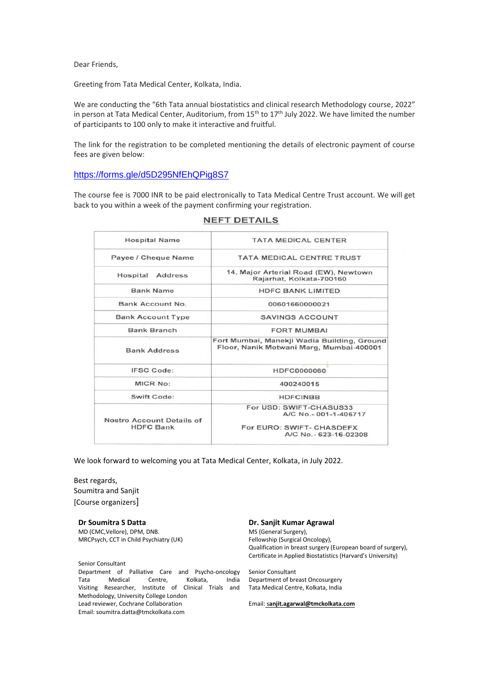Dear Friends,

Greeting from Tata Medical Center, Kolkata, India.

We are conducting the "6th Tata annual biostatistics and clinical research Methodology course, 2022" in person at Tata Medical Center, Auditorium, from 15<sup>th</sup> to 17<sup>th</sup> July 2022. We have limited the number of participants to 100 only to make it interactive and fruitful.

The link for the registration to be completed mentioning the details of electronic payment of course fees are given below:

#### <https://forms.gle/d5D295NfEhQPig8S7>

The course fee is 7000 INR to be paid electronically to Tata Medical Centre Trust account. We will get back to you within a week of the payment confirming your registration.

| <b>Hospital Name</b>                          | <b>TATA MEDICAL CENTER</b>                                                                            |
|-----------------------------------------------|-------------------------------------------------------------------------------------------------------|
| Payee / Cheque Name                           | <b>TATA MEDICAL CENTRE TRUST</b>                                                                      |
| Hospital<br>Address                           | 14, Major Arterial Road (EW), Newtown<br>Rajarhat, Kolkata-700160                                     |
| <b>Bank Name</b>                              | <b>HDFC BANK LIMITED</b>                                                                              |
| Bank Account No.                              | 00601660000021                                                                                        |
| <b>Bank Account Type</b>                      | <b>SAVINGS ACCOUNT</b>                                                                                |
| <b>Bank Branch</b>                            | <b>FORT MUMBAI</b>                                                                                    |
| <b>Bank Address</b>                           | Fort Mumbai, Manekji Wadia Building, Ground<br>Floor, Nanik Motwani Marg, Mumbai-400001               |
| <b>IFSC Code:</b>                             | HDFC0000060                                                                                           |
| MICR No:                                      | 400240015                                                                                             |
| Swift Code:                                   | <b>HDFCINBB</b>                                                                                       |
| Nostro Account Details of<br><b>HDFC Bank</b> | For USD: SWIFT-CHASUS33<br>A/C No.-001-1-406717<br>For EURO: SWIFT- CHASDEFX<br>A/C No.- 623-16-02308 |
|                                               |                                                                                                       |

**NEFT DETAILS** 

We look forward to welcoming you at Tata Medical Center, Kolkata, in July 2022.

Best regards, Soumitra and Sanjit [Course organizers]

**Dr Soumitra S Datta** MD (CMC,Vellore), DPM, DNB. MRCPsych, CCT in Child Psychiatry (UK)

Senior Consultant Department of Palliative Care and Psycho-oncology Tata Medical Centre, Kolkata, India Visiting Researcher, Institute of Clinical Trials and Methodology, University College London Lead reviewer, Cochrane Collaboration Email: soumitra.datta@tmckolkata.com

#### **Dr. Sanjit Kumar Agrawal**

MS (General Surgery), Fellowship (Surgical Oncology), Qualification in breast surgery (European board of surgery), Certificate in Applied Biostatistics (Harvard's University)

Senior Consultant Department of breast Oncosurgery Tata Medical Centre, Kolkata, India

Email: s**[anjit.agarwal@tmckolkata.com](mailto:sanjit.agarwal@tmckolkata.com)**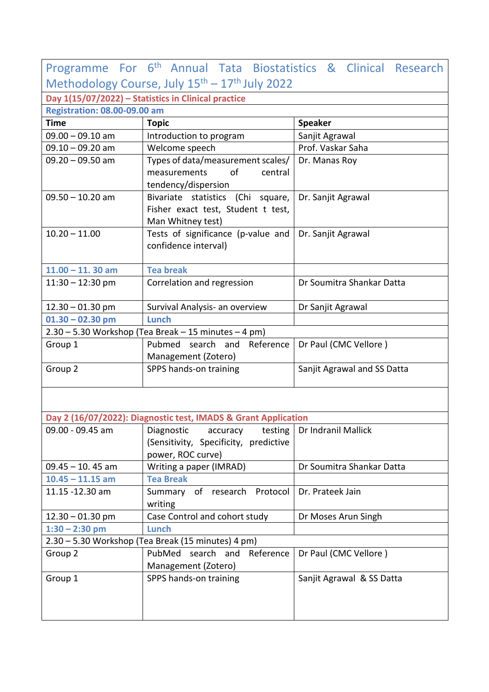| Programme For 6 <sup>th</sup> Annual Tata Biostatistics & Clinical Research |                                                                            |                             |  |  |
|-----------------------------------------------------------------------------|----------------------------------------------------------------------------|-----------------------------|--|--|
| Methodology Course, July 15 <sup>th</sup> - 17 <sup>th</sup> July 2022      |                                                                            |                             |  |  |
| Day 1(15/07/2022) - Statistics in Clinical practice                         |                                                                            |                             |  |  |
| <b>Registration: 08.00-09.00 am</b>                                         |                                                                            |                             |  |  |
| <b>Time</b>                                                                 | <b>Topic</b>                                                               | <b>Speaker</b>              |  |  |
| $09.00 - 09.10$ am                                                          | Introduction to program                                                    | Sanjit Agrawal              |  |  |
| $09.10 - 09.20$ am                                                          | Welcome speech                                                             | Prof. Vaskar Saha           |  |  |
| $09.20 - 09.50$ am                                                          | Types of data/measurement scales/                                          | Dr. Manas Roy               |  |  |
|                                                                             | measurements<br>of<br>central                                              |                             |  |  |
|                                                                             | tendency/dispersion                                                        |                             |  |  |
| $09.50 - 10.20$ am                                                          | Bivariate statistics (Chi square,                                          | Dr. Sanjit Agrawal          |  |  |
|                                                                             | Fisher exact test, Student t test,                                         |                             |  |  |
|                                                                             | Man Whitney test)                                                          |                             |  |  |
| $10.20 - 11.00$                                                             | Tests of significance (p-value and                                         | Dr. Sanjit Agrawal          |  |  |
|                                                                             | confidence interval)                                                       |                             |  |  |
|                                                                             |                                                                            |                             |  |  |
| $11.00 - 11.30$ am                                                          | <b>Tea break</b>                                                           |                             |  |  |
| $11:30 - 12:30$ pm                                                          | Correlation and regression                                                 | Dr Soumitra Shankar Datta   |  |  |
| $12.30 - 01.30$ pm                                                          | Survival Analysis- an overview                                             | Dr Sanjit Agrawal           |  |  |
| $01.30 - 02.30$ pm                                                          | Lunch                                                                      |                             |  |  |
| 2.30 - 5.30 Workshop (Tea Break - 15 minutes - 4 pm)                        |                                                                            |                             |  |  |
| Group 1                                                                     | Pubmed<br>search and Reference                                             | Dr Paul (CMC Vellore)       |  |  |
|                                                                             | Management (Zotero)                                                        |                             |  |  |
| Group 2                                                                     | SPPS hands-on training                                                     | Sanjit Agrawal and SS Datta |  |  |
|                                                                             |                                                                            |                             |  |  |
|                                                                             |                                                                            |                             |  |  |
|                                                                             |                                                                            |                             |  |  |
|                                                                             | Day 2 (16/07/2022): Diagnostic test, IMADS & Grant Application             |                             |  |  |
| 09.00 - 09.45 am                                                            | Diagnostic<br>accuracy<br>testing<br>(Sensitivity, Specificity, predictive | Dr Indranil Mallick         |  |  |
|                                                                             | power, ROC curve)                                                          |                             |  |  |
| $09.45 - 10.45$ am                                                          | Writing a paper (IMRAD)                                                    | Dr Soumitra Shankar Datta   |  |  |
| $10.45 - 11.15$ am                                                          | <b>Tea Break</b>                                                           |                             |  |  |
| 11.15 -12.30 am                                                             | Summary of research Protocol                                               | Dr. Prateek Jain            |  |  |
|                                                                             | writing                                                                    |                             |  |  |
| $12.30 - 01.30$ pm                                                          | Case Control and cohort study                                              | Dr Moses Arun Singh         |  |  |
| $1:30 - 2:30$ pm                                                            | <b>Lunch</b>                                                               |                             |  |  |
| 2.30 - 5.30 Workshop (Tea Break (15 minutes) 4 pm)                          |                                                                            |                             |  |  |
| Group 2                                                                     | PubMed<br>search and<br>Reference                                          | Dr Paul (CMC Vellore)       |  |  |
|                                                                             | Management (Zotero)                                                        |                             |  |  |
| Group 1                                                                     | SPPS hands-on training                                                     | Sanjit Agrawal & SS Datta   |  |  |
|                                                                             |                                                                            |                             |  |  |
|                                                                             |                                                                            |                             |  |  |
|                                                                             |                                                                            |                             |  |  |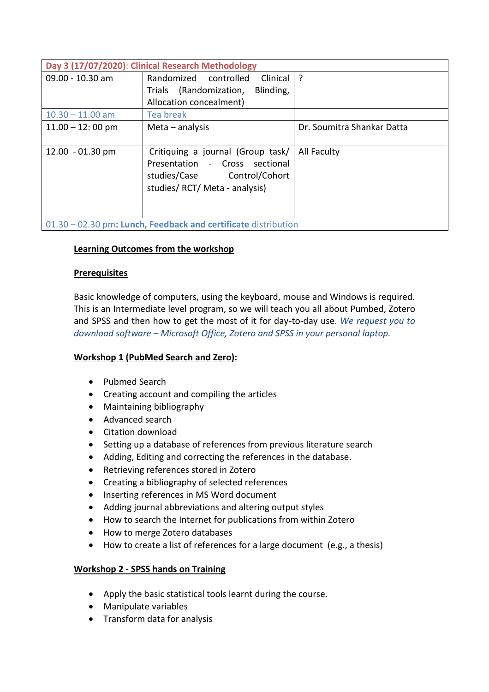| Day 3 (17/07/2020): Clinical Research Methodology              |                                     |                            |  |
|----------------------------------------------------------------|-------------------------------------|----------------------------|--|
| 09.00 - 10.30 am                                               | Randomized controlled<br>Clinical   | ?                          |  |
|                                                                | Trials (Randomization,<br>Blinding, |                            |  |
|                                                                | Allocation concealment)             |                            |  |
| $10.30 - 11.00$ am                                             | Tea break                           |                            |  |
| $11.00 - 12:00$ pm                                             | Meta $-$ analysis                   | Dr. Soumitra Shankar Datta |  |
|                                                                |                                     |                            |  |
| $12.00 - 01.30$ pm                                             | Critiquing a journal (Group task/   | All Faculty                |  |
|                                                                | Presentation - Cross sectional      |                            |  |
|                                                                | studies/Case Control/Cohort         |                            |  |
|                                                                | studies/RCT/Meta - analysis)        |                            |  |
|                                                                |                                     |                            |  |
|                                                                |                                     |                            |  |
| 01.30 - 02.30 pm: Lunch, Feedback and certificate distribution |                                     |                            |  |

# **Learning Outcomes from the workshop**

## **Prerequisites**

Basic knowledge of computers, using the keyboard, mouse and Windows is required. This is an Intermediate level program, so we will teach you all about Pumbed, Zotero and SPSS and then how to get the most of it for day-to-day use. *We request you to download software – Microsoft Office, Zotero and SPSS in your personal laptop.*

## **Workshop 1 (PubMed Search and Zero):**

- Pubmed Search
- Creating account and compiling the articles
- Maintaining bibliography
- Advanced search
- Citation download
- Setting up a database of references from previous literature search
- Adding, Editing and correcting the references in the database.
- Retrieving references stored in Zotero
- Creating a bibliography of selected references
- Inserting references in MS Word document
- Adding journal abbreviations and altering output styles
- How to search the Internet for publications from within Zotero
- How to merge Zotero databases
- How to create a list of references for a large document (e.g., a thesis)

## **Workshop 2 - SPSS hands on Training**

- Apply the basic statistical tools learnt during the course.
- Manipulate variables
- Transform data for analysis